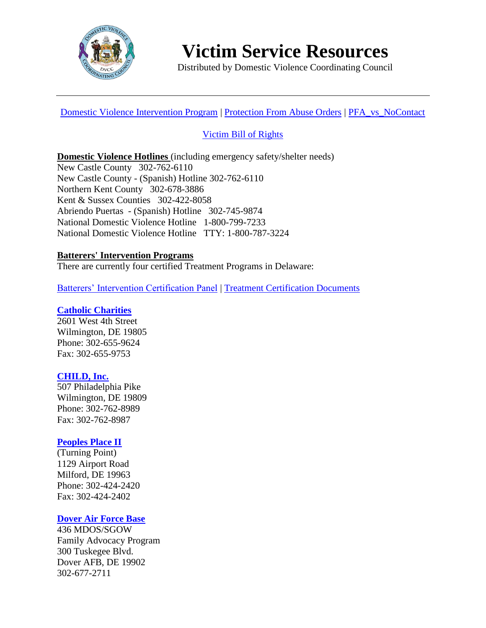

**Victim Service Resources**

Distributed by Domestic Violence Coordinating Council

[Domestic Violence Intervention Program](https://dvcc.delaware.gov/wp-content/uploads/sites/87/2018/02/Violence_Intervention_Program.pdf) | [Protection From Abuse Orders](http://courts.delaware.gov/forms/list.aspx?sec=Forms&sub=Protection%20From%20Abuse) | [PFA\\_vs\\_NoContact](https://dvcc.delaware.gov/wp-content/uploads/sites/87/2018/02/PFA_vs_NoContact.pdf)

# [Victim Bill of Rights](https://dvcc.delaware.gov/wp-content/uploads/sites/87/2018/02/Victim-Bill-of-Rights.pdf)

**Domestic Violence Hotlines** (including emergency safety/shelter needs)

New Castle County 302-762-6110 New Castle County - (Spanish) Hotline 302-762-6110 Northern Kent County 302-678-3886 Kent & Sussex Counties 302-422-8058 Abriendo Puertas - (Spanish) Hotline 302-745-9874 National Domestic Violence Hotline 1-800-799-7233 National Domestic Violence Hotline TTY: 1-800-787-3224

#### **Batterers' Intervention Programs**

There are currently four certified Treatment Programs in Delaware:

[Batterers' Intervention Certification Panel](https://dvcc.delaware.gov/batterers-intervention-certification-panel/) | [Treatment Certification Documents](https://dvcc.delaware.gov/treatment-certification-documents/)

#### **[Catholic Charities](https://www.ccwilm.org/behavioral-health-services/domestic-violence-services/)**

2601 West 4th Street Wilmington, DE 19805 Phone: 302-655-9624 Fax: 302-655-9753

#### **[CHILD, Inc.](https://www.childinc.com/)**

507 Philadelphia Pike Wilmington, DE 19809 Phone: 302-762-8989 Fax: 302-762-8987

#### **[Peoples Place II](http://peoplesplace2.com/programs-services/turning-point/)**

(Turning Point) 1129 Airport Road Milford, DE 19963 Phone: 302-424-2420 Fax: 302-424-2402

#### **[Dover Air Force Base](http://www.dover.af.mil/Units/Family-Advocacy/)**

436 MDOS/SGOW Family Advocacy Program 300 Tuskegee Blvd. Dover AFB, DE 19902 302-677-2711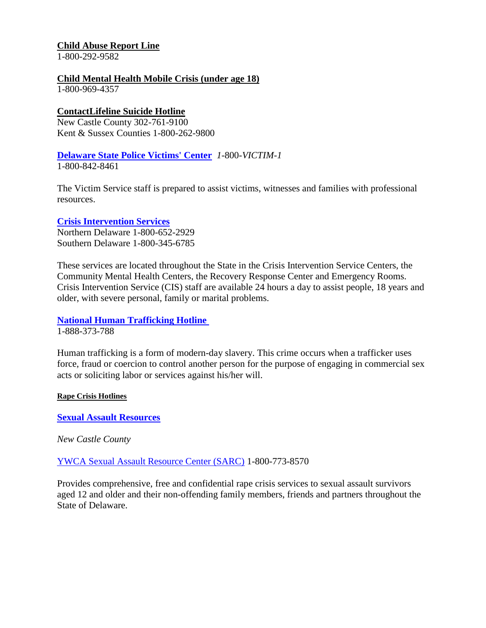# **Child Abuse Report Line**

1-800-292-9582

#### **Child Mental Health Mobile Crisis (under age 18)**

1-800-969-4357

#### **ContactLifeline Suicide Hotline**

New Castle County 302-761-9100 Kent & Sussex Counties 1-800-262-9800

#### **[Delaware State Police Victims' Center](http://dsp.delaware.gov/victim_services.shtml)** *1*-800-*VICTIM*-*1*

1-800-842-8461

The Victim Service staff is prepared to assist victims, witnesses and families with professional resources.

#### **[Crisis Intervention Services](http://www.dhss.delaware.gov/dsamh/crisis_intervention.html)**

Northern Delaware 1-800-652-2929 Southern Delaware 1-800-345-6785

These services are located throughout the State in the Crisis Intervention Service Centers, the Community Mental Health Centers, the Recovery Response Center and Emergency Rooms. Crisis Intervention Service (CIS) staff are available 24 hours a day to assist people, 18 years and older, with severe personal, family or marital problems.

# **[National Human Trafficking Hotline](https://humantraffickinghotline.org/)**

1-888-373-788

Human trafficking is a form of modern-day slavery. This crime occurs when a trafficker uses force, fraud or coercion to control another person for the purpose of engaging in commercial sex acts or soliciting labor or services against his/her will.

#### **Rape Crisis Hotlines**

**[Sexual Assault Resources](file://///cjcfs01/sexual-assault-resources/)**

*New Castle County*

[YWCA Sexual Assault Resource Center \(SARC\)](http://www.ywcade.org/site/c.ahKKIZMHIlI4E/b.9285749/k.3AA2/Sexual_Assault_Response_Center.htm) 1-800-773-8570

Provides comprehensive, free and confidential rape crisis services to sexual assault survivors aged 12 and older and their non-offending family members, friends and partners throughout the State of Delaware.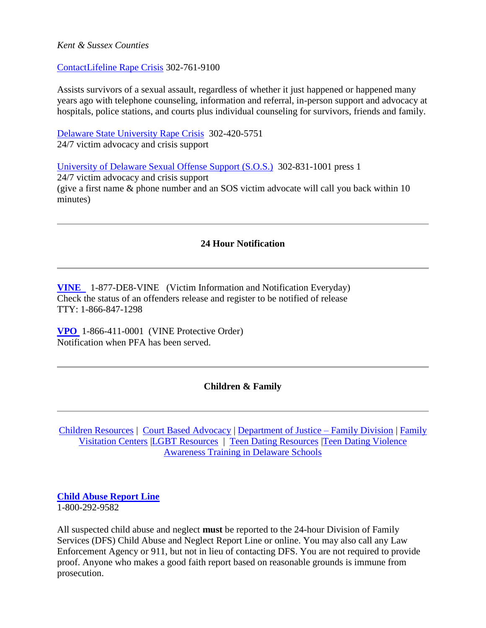#### *Kent & Sussex Counties*

#### [ContactLifeline Rape Crisis](http://www.contactlifeline.org/crisis-services/) 302-761-9100

Assists survivors of a sexual assault, regardless of whether it just happened or happened many years ago with telephone counseling, information and referral, in-person support and advocacy at hospitals, police stations, and courts plus individual counseling for survivors, friends and family.

[Delaware State University Rape Crisis](https://www.desu.edu/about/administration/university-policies-procedures/sexual-assault-resource-options) 302-420-5751 24/7 victim advocacy and crisis support

[University of Delaware Sexual Offense Support \(S.O.S.\)](http://sites.udel.edu/sos/) 302-831-1001 press 1

24/7 victim advocacy and crisis support (give a first name & phone number and an SOS victim advocate will call you back within 10 minutes)

#### **24 Hour Notification**

**[VINE](https://deljis.delaware.gov/vines.shtml)** 1-877-DE8-VINE (Victim Information and Notification Everyday) Check the status of an offenders release and register to be notified of release TTY: 1-866-847-1298

**[VPO](https://www.registervpo.com/RegisterVPO/initAction.do)** 1-866-411-0001 (VINE Protective Order) Notification when PFA has been served.

#### **Children & Family**

[Children Resources](https://dvcc.delaware.gov/children-resources/) | [Court Based Advocacy](https://courts.delaware.gov/childadvocate/) | [Department of Justice –](http://attorneygeneral.delaware.gov/family/) Family Division | [Family](https://dvcc.delaware.gov/family-visitation-centers/)  [Visitation Centers](https://dvcc.delaware.gov/family-visitation-centers/) [|LGBT Resources](http://www.camprehoboth.com/lgbt-resource-guide) | [Teen Dating Resources](https://dvcc.delaware.gov/teen-dating-violence-resources/) [|Teen Dating Violence](https://dvcc.delaware.gov/delaware-schools/)  [Awareness Training in Delaware Schools](https://dvcc.delaware.gov/delaware-schools/)

#### **[Child Abuse Report Line](https://kids.delaware.gov/fs/fs_iseethesigns.shtml)** 1-800-292-9582

All suspected child abuse and neglect **must** be reported to the 24-hour Division of Family Services (DFS) Child Abuse and Neglect Report Line or online. You may also call any Law Enforcement Agency or 911, but not in lieu of contacting DFS. You are not required to provide proof. Anyone who makes a good faith report based on reasonable grounds is immune from prosecution.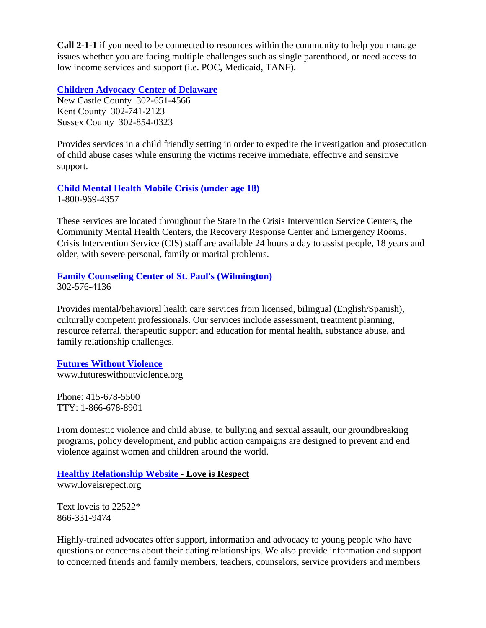**Call 2-1-1** if you need to be connected to resources within the community to help you manage issues whether you are facing multiple challenges such as single parenthood, or need access to low income services and support (i.e. POC, Medicaid, TANF).

**[Children Advocacy Center of Delaware](http://www.cacofde.org/index.html)**

New Castle County 302-651-4566 Kent County 302-741-2123 Sussex County 302-854-0323

Provides services in a child friendly setting in order to expedite the investigation and prosecution of child abuse cases while ensuring the victims receive immediate, effective and sensitive support.

**[Child Mental Health Mobile Crisis \(under age 18\)](http://www.delawareguidance.org/contact.htm)** 1-800-969-4357

These services are located throughout the State in the Crisis Intervention Service Centers, the Community Mental Health Centers, the Recovery Response Center and Emergency Rooms. Crisis Intervention Service (CIS) staff are available 24 hours a day to assist people, 18 years and older, with severe personal, family or marital problems.

# **[Family Counseling Center of St. Paul's \(Wilmington\)](http://stpaulscounseling.org/)**

302-576-4136

Provides mental/behavioral health care services from licensed, bilingual (English/Spanish), culturally competent professionals. Our services include assessment, treatment planning, resource referral, therapeutic support and education for mental health, substance abuse, and family relationship challenges.

# **[Futures Without Violence](https://www.google.com/search?q=futures+without+violence&rlz=1C1NHXL_enUS735US735&oq=futures+withou&aqs=chrome.0.0j69i57j0l4.2231j0j4&sourceid=chrome&ie=UTF-8)**

www.futureswithoutviolence.org

Phone: 415-678-5500 TTY: 1-866-678-8901

From domestic violence and child abuse, to bullying and sexual assault, our groundbreaking programs, policy development, and public action campaigns are designed to prevent and end violence against women and children around the world.

**[Healthy Relationship Website](http://www.loveisrespect.org/healthy-relationships/) - Love is Respect** www.loveisrepect.org

Text loveis to 22522\* 866-331-9474

Highly-trained advocates offer support, information and advocacy to young people who have questions or concerns about their dating relationships. We also provide information and support to concerned friends and family members, teachers, counselors, service providers and members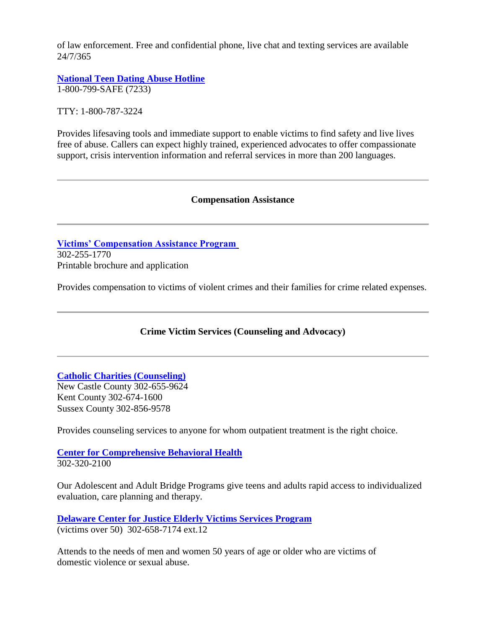of law enforcement. Free and confidential phone, live chat and texting services are available 24/7/365

**[National Teen Dating Abuse Hotline](http://www.thehotline.org/2013/02/25/dating-abuse-resources-for-teens/)** 1-800-799-SAFE (7233)

TTY: 1-800-787-3224

Provides lifesaving tools and immediate support to enable victims to find safety and live lives free of abuse. Callers can expect highly trained, experienced advocates to offer compassionate support, crisis intervention information and referral services in more than 200 languages.

#### **Compensation Assistance**

**[Victims' Compensation Assistance Program](https://attorneygeneral.delaware.gov/vcap/)** 302-255-1770 Printable brochure and application

Provides compensation to victims of violent crimes and their families for crime related expenses.

# **Crime Victim Services (Counseling and Advocacy)**

#### **[Catholic Charities \(Counseling\)](https://www.ccwilm.org/behavioral-health-services/)**

New Castle County 302-655-9624 Kent County 302-674-1600 Sussex County 302-856-9578

Provides counseling services to anyone for whom outpatient treatment is the right choice.

**[Center for Comprehensive Behavioral Health](https://christianacare.org/services/behavioralhealth/)** 302-320-2100

Our Adolescent and Adult Bridge Programs give teens and adults rapid access to individualized evaluation, care planning and therapy.

**[Delaware Center for Justice Elderly Victims Services Program](http://www.dcjustice.org/wp-content/uploads/2015/08/avs-brochure-4.6.16.pdf)** (victims over 50) 302-658-7174 ext.12

Attends to the needs of men and women 50 years of age or older who are victims of domestic violence or sexual abuse.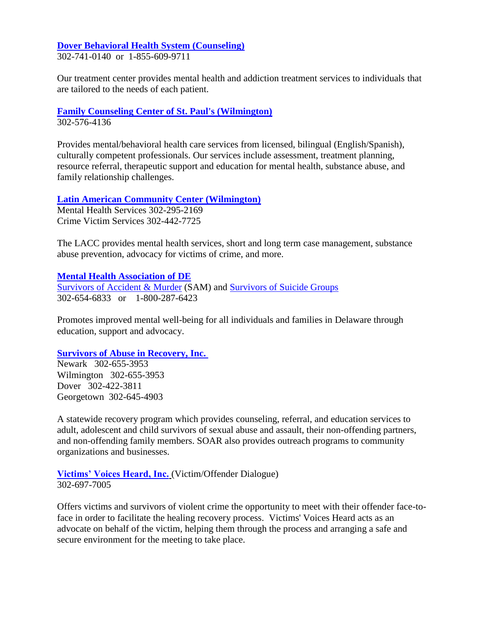#### **[Dover Behavioral Health System \(Counseling\)](https://www.doverbehavioral.com/)**

302-741-0140 or 1-855-609-9711

Our treatment center provides mental health and addiction treatment services to individuals that are tailored to the needs of each patient.

**[Family Counseling Center of St. Paul's \(Wilmington\)](http://stpaulscounseling.org/)** 302-576-4136

Provides mental/behavioral health care services from licensed, bilingual (English/Spanish), culturally competent professionals. Our services include assessment, treatment planning, resource referral, therapeutic support and education for mental health, substance abuse, and family relationship challenges.

#### **[Latin American Community Center \(Wilmington\)](http://www.thelatincenter.org/)**

Mental Health Services 302-295-2169 Crime Victim Services 302-442-7725

The LACC provides mental health services, short and long term case management, substance abuse prevention, advocacy for victims of crime, and more.

#### **[Mental Health Association of DE](http://mhainde.org/wp/)**

Survivors of [Accident & Murder](http://degac.org/) (SAM) and [Survivors of Suicide Groups](http://www.suicide.org/support-groups/delaware-suicide-support-groups.html) 302-654-6833 or 1-800-287-6423

Promotes improved mental well-being for all individuals and families in Delaware through education, support and advocacy.

#### **[Survivors of Abuse in Recovery, Inc.](https://www.survivorsofabuse.org/)**

Newark 302-655-3953 Wilmington 302-655-3953 Dover 302-422-3811 Georgetown 302-645-4903

A statewide recovery program which provides counseling, referral, and education services to adult, adolescent and child survivors of sexual abuse and assault, their non-offending partners, and non-offending family members. SOAR also provides outreach programs to community organizations and businesses.

#### **[Victims' Voices Heard, Inc.](https://www.victimsvoicesheard.org/)** (Victim/Offender Dialogue) 302-697-7005

Offers victims and survivors of violent crime the opportunity to meet with their offender face-toface in order to facilitate the healing recovery process. Victims' Voices Heard acts as an advocate on behalf of the victim, helping them through the process and arranging a safe and secure environment for the meeting to take place.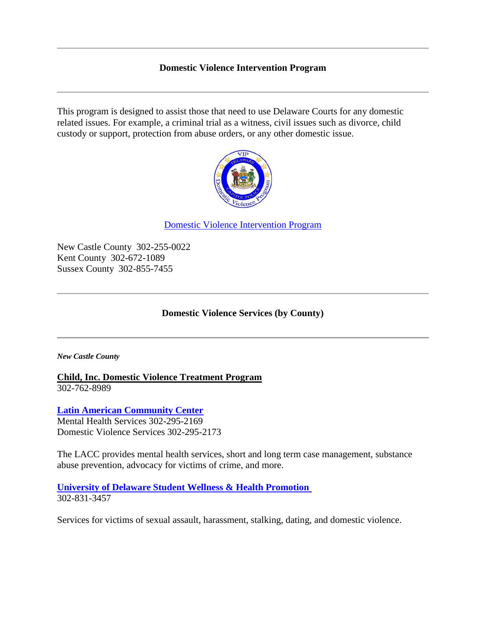#### **Domestic Violence Intervention Program**

This program is designed to assist those that need to use Delaware Courts for any domestic related issues. For example, a criminal trial as a witness, civil issues such as divorce, child custody or support, protection from abuse orders, or any other domestic issue.



[Domestic Violence Intervention Program](http://capitolpd.delaware.gov/usr/forms/dv-vip/)

New Castle County 302-255-0022 Kent County 302-672-1089 Sussex County 302-855-7455

#### **Domestic Violence Services (by County)**

*New Castle County*

**Child, Inc. Domestic Violence Treatment Program**  302-762-8989

**[Latin American Community Center](http://www.thelatincenter.org/)** Mental Health Services 302-295-2169 Domestic Violence Services 302-295-2173

The LACC provides mental health services, short and long term case management, substance abuse prevention, advocacy for victims of crime, and more.

**[University of Delaware Student Wellness & Health Promotion](http://sites.udel.edu/studentwellness/)** 302-831-3457

Services for victims of sexual assault, harassment, stalking, dating, and domestic violence.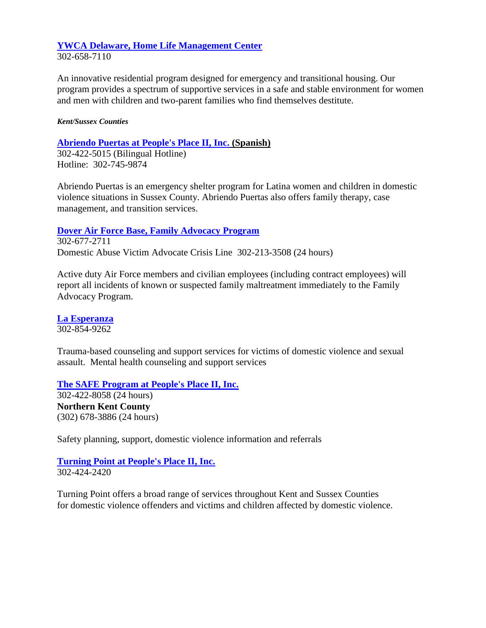# **[YWCA Delaware, Home Life Management Center](http://www.ywcade.org/site/c.ahKKIZMHIlI4E/b.8083115/k.6DE8/HomeLife_Management_Center.htm)**

302-658-7110

An innovative residential program designed for emergency and transitional housing. Our program provides a spectrum of supportive services in a safe and stable environment for women and men with children and two-parent families who find themselves destitute.

#### *Kent/Sussex Counties*

**[Abriendo Puertas at People's Place II, Inc.](http://peoplesplace2.com/programs-services/abriendo-puertas/) (Spanish)**  302-422-5015 (Bilingual Hotline)

Hotline: 302-745-9874

Abriendo Puertas is an emergency shelter program for Latina women and children in domestic violence situations in Sussex County. Abriendo Puertas also offers family therapy, case management, and transition services.

#### **[Dover Air Force Base, Family Advocacy Program](http://www.dover.af.mil/Units/Family-Advocacy/)**

302-677-2711 Domestic Abuse Victim Advocate Crisis Line 302-213-3508 (24 hours)

Active duty Air Force members and civilian employees (including contract employees) will report all incidents of known or suspected family maltreatment immediately to the Family Advocacy Program.

**[La Esperanza](http://laesperanzacenter.org/bYZSW/)** 302-854-9262

Trauma-based counseling and support services for victims of domestic violence and sexual assault. Mental health counseling and support services

**[The SAFE Program at People's Place II, Inc.](http://peoplesplace2.com/programs-services/safe/)**

302-422-8058 (24 hours) **Northern Kent County** (302) 678-3886 (24 hours)

Safety planning, support, domestic violence information and referrals

**[Turning Point at People's Place II, Inc.](http://peoplesplace2.com/programs-services/turning-point/)** 302-424-2420

Turning Point offers a broad range of services throughout Kent and Sussex Counties for domestic violence offenders and victims and children affected by domestic violence.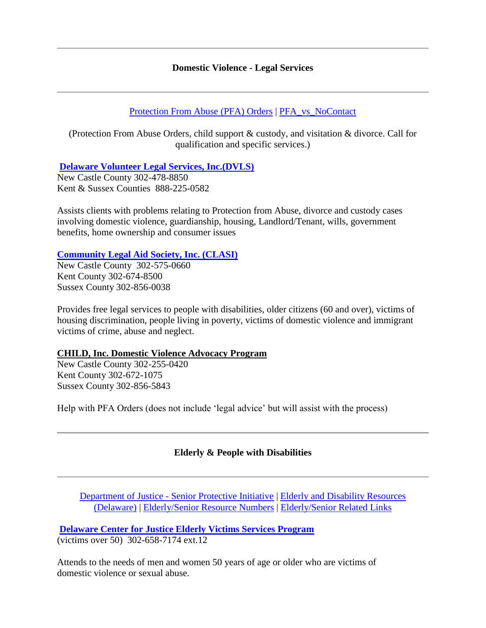#### **Domestic Violence - Legal Services**

#### [Protection From Abuse \(PFA\) Orders](http://courts.delaware.gov/forms/list.aspx?sec=Forms&sub=Protection%20From%20Abuse) | [PFA\\_vs\\_NoContact](https://dvcc.delaware.gov/wp-content/uploads/sites/87/2018/02/PFA_vs_NoContact.pdf)

(Protection From Abuse Orders, child support & custody, and visitation & divorce. Call for qualification and specific services.)

**[Delaware Volunteer Legal Services, Inc.\(DVLS\)](https://www.dvls.org/)**

New Castle County 302-478-8850 Kent & Sussex Counties 888-225-0582

Assists clients with problems relating to Protection from Abuse, divorce and custody cases involving domestic violence, guardianship, housing, Landlord/Tenant, wills, government benefits, home ownership and consumer issues

**[Community Legal Aid Society, Inc. \(CLASI\)](http://www.declasi.org/)**

New Castle County 302-575-0660 Kent County 302-674-8500 Sussex County 302-856-0038

Provides free legal services to people with disabilities, older citizens (60 and over), victims of housing discrimination, people living in poverty, victims of domestic violence and immigrant victims of crime, abuse and neglect.

#### **CHILD, Inc. Domestic Violence Advocacy Program**

New Castle County 302-255-0420 Kent County 302-672-1075 Sussex County 302-856-5843

Help with PFA Orders (does not include 'legal advice' but will assist with the process)

# **Elderly & People with Disabilities**

Department of Justice - [Senior Protective Initiative](http://attorneygeneral.delaware.gov/executive/senior-protection-initiative/) | [Elderly and Disability Resources](https://dvcc.delaware.gov/elderly-disability-resources/)  [\(Delaware\)](https://dvcc.delaware.gov/elderly-disability-resources/) | [Elderly/Senior Resource Numbers](https://dvcc.delaware.gov/senior-resource-numbers/) | [Elderly/Senior Related Links](https://dvcc.delaware.gov/elderly-disability-domestic-violence-links/)

**[Delaware Center for Justice Elderly Victims Services Program](http://www.dcjustice.org/wp-content/uploads/2015/08/avs-brochure-4.6.16.pdf)** (victims over 50) 302-658-7174 ext.12

Attends to the needs of men and women 50 years of age or older who are victims of domestic violence or sexual abuse.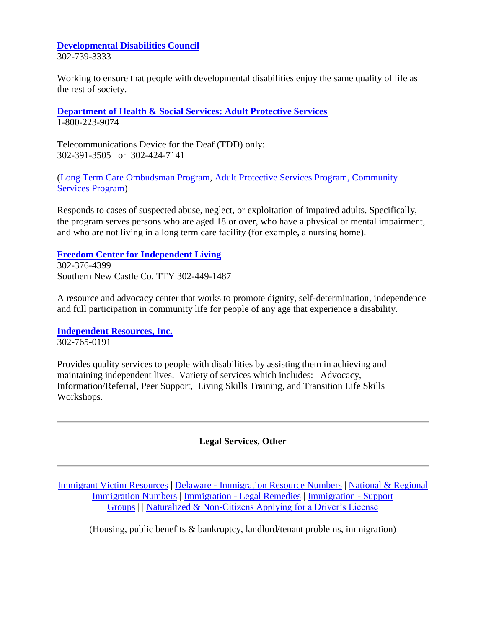#### **[Developmental Disabilities Council](https://ddc.delaware.gov/)** 302-739-3333

Working to ensure that people with developmental disabilities enjoy the same quality of life as the rest of society.

**[Department of Health & Social Services: Adult Protective Services](http://www.dhss.delaware.gov/dhss/main/aps.html)** 1-800-223-9074

Telecommunications Device for the Deaf (TDD) only: 302-391-3505 or 302-424-7141

[\(Long Term Care Ombudsman Program,](http://dhss.delaware.gov/dsaapd/ltcop.html) [Adult Protective Services Program,](http://www.dhss.delaware.gov/dsaapd/aps.html) [Community](http://dhss.delaware.gov/dhss/ddds/comserv.html)  [Services Program\)](http://dhss.delaware.gov/dhss/ddds/comserv.html)

Responds to cases of suspected abuse, neglect, or exploitation of impaired adults. Specifically, the program serves persons who are aged 18 or over, who have a physical or mental impairment, and who are not living in a long term care facility (for example, a nursing home).

# **[Freedom Center for Independent Living](http://www.fcilde.org/)**

302-376-4399 Southern New Castle Co. TTY 302-449-1487

A resource and advocacy center that works to promote dignity, self-determination, independence and full participation in community life for people of any age that experience a disability.

**[Independent Resources, Inc.](https://delaware.gov/djf/veteranProfile.php?aid=71)** 302-765-0191

Provides quality services to people with disabilities by assisting them in achieving and maintaining independent lives. Variety of services which includes: Advocacy, Information/Referral, Peer Support, Living Skills Training, and Transition Life Skills Workshops.

# **Legal Services, Other**

[Immigrant Victim Resources](https://dvcc.delaware.gov/immigrant-resources/) | Delaware - [Immigration Resource Numbers](https://dvcc.delaware.gov/wp-content/uploads/sites/87/2017/06/Delaware-Immigrant-Resource-Numbers.pdf) | [National & Regional](https://dvcc.delaware.gov/wp-content/uploads/sites/87/2017/06/National-Regional-Immigrant-Numbers.pdf)  [Immigration Numbers](https://dvcc.delaware.gov/wp-content/uploads/sites/87/2017/06/National-Regional-Immigrant-Numbers.pdf) | Immigration - [Legal Remedies](https://dvcc.delaware.gov/wp-content/uploads/sites/87/2017/06/Legal-Remedies-Immigrant-Victims.pdf) | [Immigration -](https://dvcc.delaware.gov/immigration-domestic-violence-information/) Support [Groups](https://dvcc.delaware.gov/immigration-domestic-violence-information/) | | [Naturalized & Non-Citizens Applying for a Driver's License](https://dvcc.delaware.gov/non-citizens-applying-drivers-license/)

(Housing, public benefits & bankruptcy, landlord/tenant problems, immigration)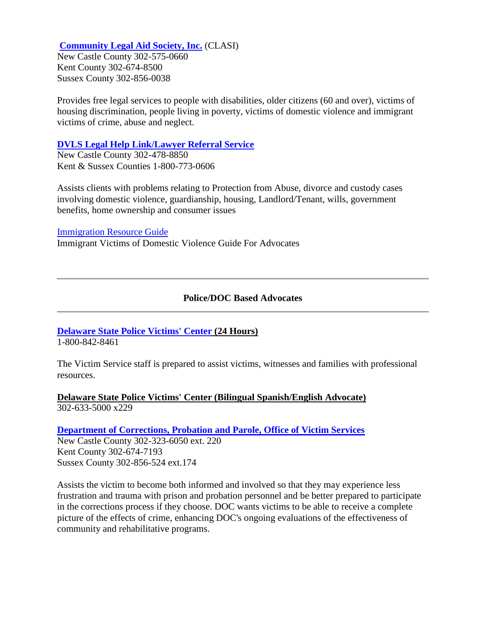# **[Community Legal Aid Society, Inc.](http://www.declasi.org/)** (CLASI)

New Castle County 302-575-0660 Kent County 302-674-8500 Sussex County 302-856-0038

Provides free legal services to people with disabilities, older citizens (60 and over), victims of housing discrimination, people living in poverty, victims of domestic violence and immigrant victims of crime, abuse and neglect.

#### **[DVLS Legal Help Link/Lawyer Referral Service](https://www.dvls.org/)**

New Castle County 302-478-8850 Kent & Sussex Counties 1-800-773-0606

Assists clients with problems relating to Protection from Abuse, divorce and custody cases involving domestic violence, guardianship, housing, Landlord/Tenant, wills, government benefits, home ownership and consumer issues

[Immigration Resource Guide](https://dvcc.delaware.gov/wp-content/uploads/sites/87/2017/06/Final-Immigration-Resource-Guide.pdf)

Immigrant Victims of Domestic Violence Guide For Advocates

# **Police/DOC Based Advocates**

#### **[Delaware State Police Victims' Center](http://dsp.delaware.gov/victim_services.shtml) (24 Hours)** 1-800-842-8461

The Victim Service staff is prepared to assist victims, witnesses and families with professional resources.

**Delaware State Police Victims' Center (Bilingual Spanish/English Advocate)** 302-633-5000 x229

**[Department of Corrections, Probation and Parole, Office of Victim Services](http://www.doc.delaware.gov/victimServices.shtml)** New Castle County 302-323-6050 ext. 220 Kent County 302-674-7193 Sussex County 302-856-524 ext.174

Assists the victim to become both informed and involved so that they may experience less frustration and trauma with prison and probation personnel and be better prepared to participate in the corrections process if they choose. DOC wants victims to be able to receive a complete picture of the effects of crime, enhancing DOC's ongoing evaluations of the effectiveness of community and rehabilitative programs.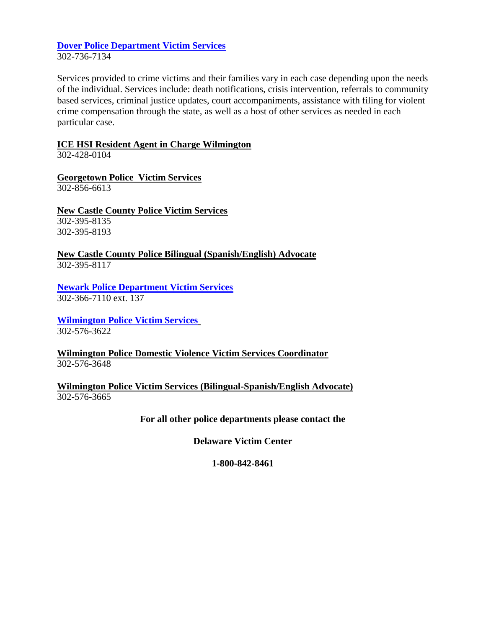#### **[Dover Police Department Victim Services](https://doverpolice.org/victim-services/)** 302-736-7134

Services provided to crime victims and their families vary in each case depending upon the needs of the individual. Services include: death notifications, crisis intervention, referrals to community based services, criminal justice updates, court accompaniments, assistance with filing for violent crime compensation through the state, as well as a host of other services as needed in each particular case.

#### **ICE HSI Resident Agent in Charge Wilmington**

302-428-0104

**Georgetown Police Victim Services** 302-856-6613

**New Castle County Police Victim Services** 302-395-8135 302-395-8193

**New Castle County Police Bilingual (Spanish/English) Advocate** 302-395-8117

**[Newark Police Department Victim Services](https://newarkde.gov/341/Victims-Witnesses)** 302-366-7110 ext. 137

**[Wilmington Police Victim Services](https://www.wilmingtonde.gov/government/city-departments/department-of-police/victim-services)** 302-576-3622

**Wilmington Police Domestic Violence Victim Services Coordinator**  $302 - 576 - 3648$ 

**Wilmington Police Victim Services (Bilingual-Spanish/English Advocate)** 302-576-3665

**For all other police departments please contact the** 

**Delaware Victim Center**

**1-800-842-8461**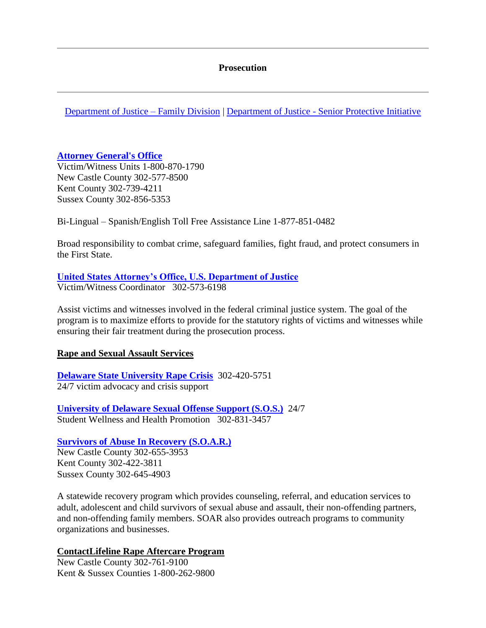#### **Prosecution**

[Department of Justice –](http://attorneygeneral.delaware.gov/family/) Family Division | Department of Justice - [Senior Protective Initiative](http://attorneygeneral.delaware.gov/executive/senior-protection-initiative/)

#### **[Attorney General's Office](https://attorneygeneral.delaware.gov/)**

Victim/Witness Units 1-800-870-1790 New Castle County 302-577-8500 Kent County 302-739-4211 Sussex County 302-856-5353

Bi-Lingual – Spanish/English Toll Free Assistance Line 1-877-851-0482

Broad responsibility to combat crime, safeguard families, fight fraud, and protect consumers in the First State.

# **[United States Attorney's Office, U.S. Department of Justice](https://www.justice.gov/usao-de/victim-witness-program)**

Victim/Witness Coordinator 302-573-6198

Assist victims and witnesses involved in the federal criminal justice system. The goal of the program is to maximize efforts to provide for the statutory rights of victims and witnesses while ensuring their fair treatment during the prosecution process.

#### **Rape and Sexual Assault Services**

**[Delaware State University Rape Crisis](https://www.desu.edu/about/administration/university-policies-procedures/sexual-assault-resource-options)** 302-420-5751 24/7 victim advocacy and crisis support

**[University of Delaware Sexual Offense Support \(S.O.S.\)](http://sites.udel.edu/sos/support-counseling/)** 24/7 Student Wellness and Health Promotion 302-831-3457

#### **[Survivors of Abuse In Recovery \(S.O.A.R.\)](https://www.survivorsofabuse.org/)**

New Castle County 302-655-3953 Kent County 302-422-3811 Sussex County 302-645-4903

A statewide recovery program which provides counseling, referral, and education services to adult, adolescent and child survivors of sexual abuse and assault, their non-offending partners, and non-offending family members. SOAR also provides outreach programs to community organizations and businesses.

#### **ContactLifeline Rape Aftercare Program**

New Castle County 302-761-9100 Kent & Sussex Counties 1-800-262-9800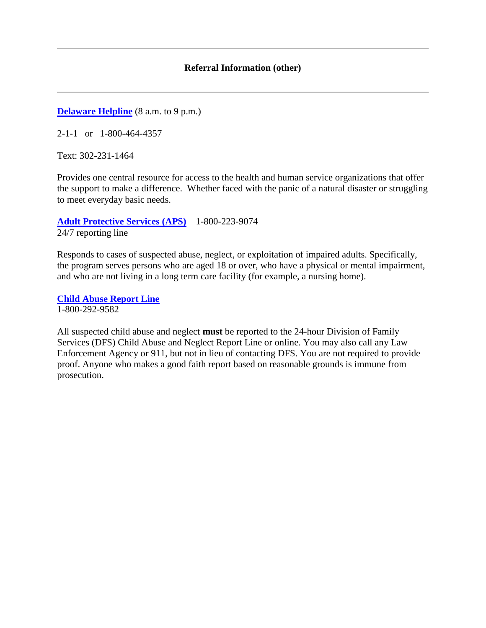**[Delaware Helpline](http://www.delaware211.org/)** (8 a.m. to 9 p.m.)

2-1-1 or 1-800-464-4357

Text: 302-231-1464

Provides one central resource for access to the health and human service organizations that offer the support to make a difference. Whether faced with the panic of a natural disaster or struggling to meet everyday basic needs.

**[Adult Protective Services \(APS\)](http://www.dhss.delaware.gov/dsaapd/aps.html)** 1-800-223-9074 24/7 reporting line

Responds to cases of suspected abuse, neglect, or exploitation of impaired adults. Specifically, the program serves persons who are aged 18 or over, who have a physical or mental impairment, and who are not living in a long term care facility (for example, a nursing home).

**[Child Abuse Report Line](https://kids.delaware.gov/fs/fs_iseethesigns.shtml)** 1-800-292-9582

All suspected child abuse and neglect **must** be reported to the 24-hour Division of Family Services (DFS) Child Abuse and Neglect Report Line or online. You may also call any Law Enforcement Agency or 911, but not in lieu of contacting DFS. You are not required to provide proof. Anyone who makes a good faith report based on reasonable grounds is immune from prosecution.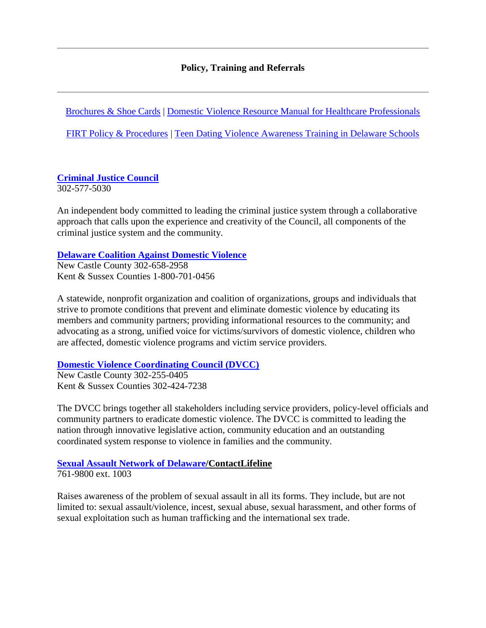#### **Policy, Training and Referrals**

[Brochures & Shoe Cards](https://dvcc.delaware.gov/brochures-shoe-card/) | [Domestic Violence Resource Manual for Healthcare Professionals](https://dvcc.delaware.gov/wp-content/uploads/sites/87/2017/06/D808563Manual_Proof_Final_01172012.pdf)

[FIRT Policy & Procedures](https://dvcc.delaware.gov/wp-content/uploads/sites/87/2017/06/FIRT-Policies-and-Procedures-with-ND-and-Joint-12-13-12.pdf) | [Teen Dating Violence Awareness Training in Delaware Schools](https://dvcc.delaware.gov/delaware-schools/)

# **[Criminal Justice Council](https://cjc.delaware.gov/)**

302-577-5030

An independent body committed to leading the criminal justice system through a collaborative approach that calls upon the experience and creativity of the Council, all components of the criminal justice system and the community.

#### **[Delaware Coalition Against Domestic Violence](https://dcadv.org/)**

New Castle County 302-658-2958 Kent & Sussex Counties 1-800-701-0456

A statewide, nonprofit organization and coalition of organizations, groups and individuals that strive to promote conditions that prevent and eliminate domestic violence by educating its members and community partners; providing informational resources to the community; and advocating as a strong, unified voice for victims/survivors of domestic violence, children who are affected, domestic violence programs and victim service providers.

# **[Domestic Violence Coordinating Council \(DVCC\)](https://dvcc.delaware.gov/)**

New Castle County 302-255-0405 Kent & Sussex Counties 302-424-7238

The DVCC brings together all stakeholders including service providers, policy-level officials and community partners to eradicate domestic violence. The DVCC is committed to leading the nation through innovative legislative action, community education and an outstanding coordinated system response to violence in families and the community.

#### **[Sexual Assault Network of Delaware/](http://www.contactlifeline.org/sand/)ContactLifeline**

761-9800 ext. 1003

Raises awareness of the problem of sexual assault in all its forms. They include, but are not limited to: sexual assault/violence, incest, sexual abuse, sexual harassment, and other forms of sexual exploitation such as human trafficking and the international sex trade.